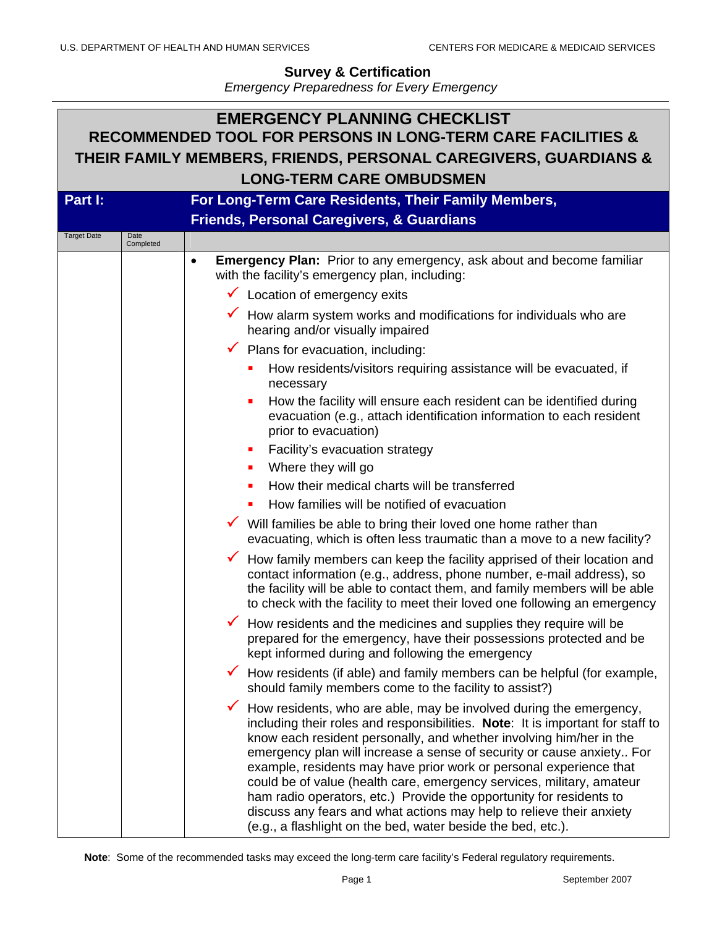| <b>EMERGENCY PLANNING CHECKLIST</b><br><b>RECOMMENDED TOOL FOR PERSONS IN LONG-TERM CARE FACILITIES &amp;</b><br>THEIR FAMILY MEMBERS, FRIENDS, PERSONAL CAREGIVERS, GUARDIANS &<br><b>LONG-TERM CARE OMBUDSMEN</b> |                                                      |                                                                                                                                                                                                                                                                                                                                                                                                                                                                                                                                                                                                                                                                                    |  |         |                                                     |  |
|---------------------------------------------------------------------------------------------------------------------------------------------------------------------------------------------------------------------|------------------------------------------------------|------------------------------------------------------------------------------------------------------------------------------------------------------------------------------------------------------------------------------------------------------------------------------------------------------------------------------------------------------------------------------------------------------------------------------------------------------------------------------------------------------------------------------------------------------------------------------------------------------------------------------------------------------------------------------------|--|---------|-----------------------------------------------------|--|
|                                                                                                                                                                                                                     |                                                      |                                                                                                                                                                                                                                                                                                                                                                                                                                                                                                                                                                                                                                                                                    |  | Part I: | For Long-Term Care Residents, Their Family Members, |  |
|                                                                                                                                                                                                                     | <b>Friends, Personal Caregivers, &amp; Guardians</b> |                                                                                                                                                                                                                                                                                                                                                                                                                                                                                                                                                                                                                                                                                    |  |         |                                                     |  |
|                                                                                                                                                                                                                     | <b>Target Date</b><br>Date<br>Completed              |                                                                                                                                                                                                                                                                                                                                                                                                                                                                                                                                                                                                                                                                                    |  |         |                                                     |  |
|                                                                                                                                                                                                                     |                                                      | <b>Emergency Plan:</b> Prior to any emergency, ask about and become familiar<br>$\bullet$<br>with the facility's emergency plan, including:                                                                                                                                                                                                                                                                                                                                                                                                                                                                                                                                        |  |         |                                                     |  |
|                                                                                                                                                                                                                     |                                                      | $\checkmark$ Location of emergency exits                                                                                                                                                                                                                                                                                                                                                                                                                                                                                                                                                                                                                                           |  |         |                                                     |  |
|                                                                                                                                                                                                                     |                                                      | How alarm system works and modifications for individuals who are<br>hearing and/or visually impaired                                                                                                                                                                                                                                                                                                                                                                                                                                                                                                                                                                               |  |         |                                                     |  |
|                                                                                                                                                                                                                     |                                                      | $\checkmark$ Plans for evacuation, including:                                                                                                                                                                                                                                                                                                                                                                                                                                                                                                                                                                                                                                      |  |         |                                                     |  |
|                                                                                                                                                                                                                     |                                                      | How residents/visitors requiring assistance will be evacuated, if<br>necessary                                                                                                                                                                                                                                                                                                                                                                                                                                                                                                                                                                                                     |  |         |                                                     |  |
|                                                                                                                                                                                                                     |                                                      | How the facility will ensure each resident can be identified during<br>ш<br>evacuation (e.g., attach identification information to each resident<br>prior to evacuation)                                                                                                                                                                                                                                                                                                                                                                                                                                                                                                           |  |         |                                                     |  |
|                                                                                                                                                                                                                     |                                                      | Facility's evacuation strategy<br>ш                                                                                                                                                                                                                                                                                                                                                                                                                                                                                                                                                                                                                                                |  |         |                                                     |  |
|                                                                                                                                                                                                                     |                                                      | Where they will go<br>ш                                                                                                                                                                                                                                                                                                                                                                                                                                                                                                                                                                                                                                                            |  |         |                                                     |  |
|                                                                                                                                                                                                                     |                                                      | How their medical charts will be transferred                                                                                                                                                                                                                                                                                                                                                                                                                                                                                                                                                                                                                                       |  |         |                                                     |  |
|                                                                                                                                                                                                                     |                                                      | How families will be notified of evacuation<br>$\blacksquare$                                                                                                                                                                                                                                                                                                                                                                                                                                                                                                                                                                                                                      |  |         |                                                     |  |
|                                                                                                                                                                                                                     |                                                      | ✔ Will families be able to bring their loved one home rather than<br>evacuating, which is often less traumatic than a move to a new facility?                                                                                                                                                                                                                                                                                                                                                                                                                                                                                                                                      |  |         |                                                     |  |
|                                                                                                                                                                                                                     |                                                      | $\checkmark$ How family members can keep the facility apprised of their location and<br>contact information (e.g., address, phone number, e-mail address), so<br>the facility will be able to contact them, and family members will be able<br>to check with the facility to meet their loved one following an emergency                                                                                                                                                                                                                                                                                                                                                           |  |         |                                                     |  |
|                                                                                                                                                                                                                     |                                                      | $\checkmark$ How residents and the medicines and supplies they require will be<br>prepared for the emergency, have their possessions protected and be<br>kept informed during and following the emergency                                                                                                                                                                                                                                                                                                                                                                                                                                                                          |  |         |                                                     |  |
|                                                                                                                                                                                                                     |                                                      | How residents (if able) and family members can be helpful (for example,<br>should family members come to the facility to assist?)                                                                                                                                                                                                                                                                                                                                                                                                                                                                                                                                                  |  |         |                                                     |  |
|                                                                                                                                                                                                                     |                                                      | $\checkmark$<br>How residents, who are able, may be involved during the emergency,<br>including their roles and responsibilities. Note: It is important for staff to<br>know each resident personally, and whether involving him/her in the<br>emergency plan will increase a sense of security or cause anxiety For<br>example, residents may have prior work or personal experience that<br>could be of value (health care, emergency services, military, amateur<br>ham radio operators, etc.) Provide the opportunity for residents to<br>discuss any fears and what actions may help to relieve their anxiety<br>(e.g., a flashlight on the bed, water beside the bed, etc.). |  |         |                                                     |  |

**Note**: Some of the recommended tasks may exceed the long-term care facility's Federal regulatory requirements.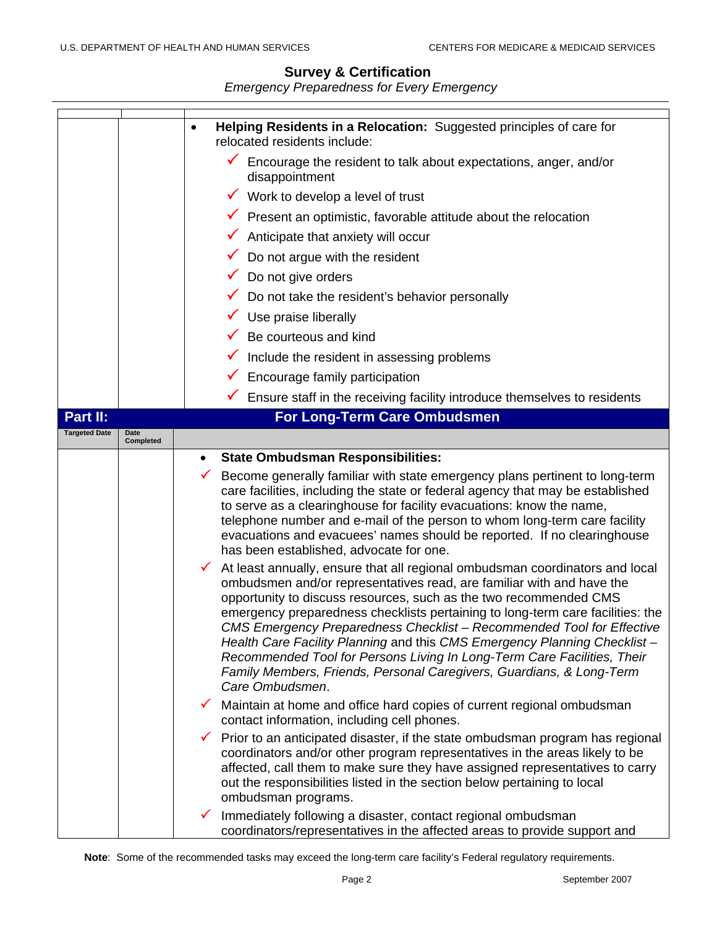|                      |                   | Helping Residents in a Relocation: Suggested principles of care for<br>relocated residents include:                                                                                                                                                                                                                                                                                                                                                                                                                                                                                                                                           |  |  |
|----------------------|-------------------|-----------------------------------------------------------------------------------------------------------------------------------------------------------------------------------------------------------------------------------------------------------------------------------------------------------------------------------------------------------------------------------------------------------------------------------------------------------------------------------------------------------------------------------------------------------------------------------------------------------------------------------------------|--|--|
|                      |                   | $\checkmark$ Encourage the resident to talk about expectations, anger, and/or<br>disappointment                                                                                                                                                                                                                                                                                                                                                                                                                                                                                                                                               |  |  |
|                      |                   | $\checkmark$ Work to develop a level of trust                                                                                                                                                                                                                                                                                                                                                                                                                                                                                                                                                                                                 |  |  |
|                      |                   | $\checkmark$ Present an optimistic, favorable attitude about the relocation                                                                                                                                                                                                                                                                                                                                                                                                                                                                                                                                                                   |  |  |
|                      |                   | Anticipate that anxiety will occur                                                                                                                                                                                                                                                                                                                                                                                                                                                                                                                                                                                                            |  |  |
|                      |                   | Do not argue with the resident                                                                                                                                                                                                                                                                                                                                                                                                                                                                                                                                                                                                                |  |  |
|                      |                   | Do not give orders                                                                                                                                                                                                                                                                                                                                                                                                                                                                                                                                                                                                                            |  |  |
|                      |                   | Do not take the resident's behavior personally                                                                                                                                                                                                                                                                                                                                                                                                                                                                                                                                                                                                |  |  |
|                      |                   | Use praise liberally<br>$\checkmark$                                                                                                                                                                                                                                                                                                                                                                                                                                                                                                                                                                                                          |  |  |
|                      |                   | Be courteous and kind                                                                                                                                                                                                                                                                                                                                                                                                                                                                                                                                                                                                                         |  |  |
|                      |                   | Include the resident in assessing problems                                                                                                                                                                                                                                                                                                                                                                                                                                                                                                                                                                                                    |  |  |
|                      |                   | Encourage family participation                                                                                                                                                                                                                                                                                                                                                                                                                                                                                                                                                                                                                |  |  |
|                      |                   | $\checkmark$ Ensure staff in the receiving facility introduce themselves to residents                                                                                                                                                                                                                                                                                                                                                                                                                                                                                                                                                         |  |  |
| Part II:             |                   | For Long-Term Care Ombudsmen                                                                                                                                                                                                                                                                                                                                                                                                                                                                                                                                                                                                                  |  |  |
| <b>Targeted Date</b> | Date<br>Completed |                                                                                                                                                                                                                                                                                                                                                                                                                                                                                                                                                                                                                                               |  |  |
|                      |                   | <b>State Ombudsman Responsibilities:</b><br>$\bullet$                                                                                                                                                                                                                                                                                                                                                                                                                                                                                                                                                                                         |  |  |
|                      |                   | Become generally familiar with state emergency plans pertinent to long-term<br>care facilities, including the state or federal agency that may be established<br>to serve as a clearinghouse for facility evacuations: know the name,<br>telephone number and e-mail of the person to whom long-term care facility<br>evacuations and evacuees' names should be reported. If no clearinghouse<br>has been established, advocate for one.                                                                                                                                                                                                      |  |  |
|                      |                   | At least annually, ensure that all regional ombudsman coordinators and local<br>✔<br>ombudsmen and/or representatives read, are familiar with and have the<br>opportunity to discuss resources, such as the two recommended CMS<br>emergency preparedness checklists pertaining to long-term care facilities: the<br>CMS Emergency Preparedness Checklist - Recommended Tool for Effective<br>Health Care Facility Planning and this CMS Emergency Planning Checklist -<br>Recommended Tool for Persons Living In Long-Term Care Facilities, Their<br>Family Members, Friends, Personal Caregivers, Guardians, & Long-Term<br>Care Ombudsmen. |  |  |
|                      |                   | Maintain at home and office hard copies of current regional ombudsman<br>contact information, including cell phones.                                                                                                                                                                                                                                                                                                                                                                                                                                                                                                                          |  |  |
|                      |                   | Prior to an anticipated disaster, if the state ombudsman program has regional<br>coordinators and/or other program representatives in the areas likely to be<br>affected, call them to make sure they have assigned representatives to carry<br>out the responsibilities listed in the section below pertaining to local<br>ombudsman programs.                                                                                                                                                                                                                                                                                               |  |  |
|                      |                   | Immediately following a disaster, contact regional ombudsman<br>✔<br>coordinators/representatives in the affected areas to provide support and                                                                                                                                                                                                                                                                                                                                                                                                                                                                                                |  |  |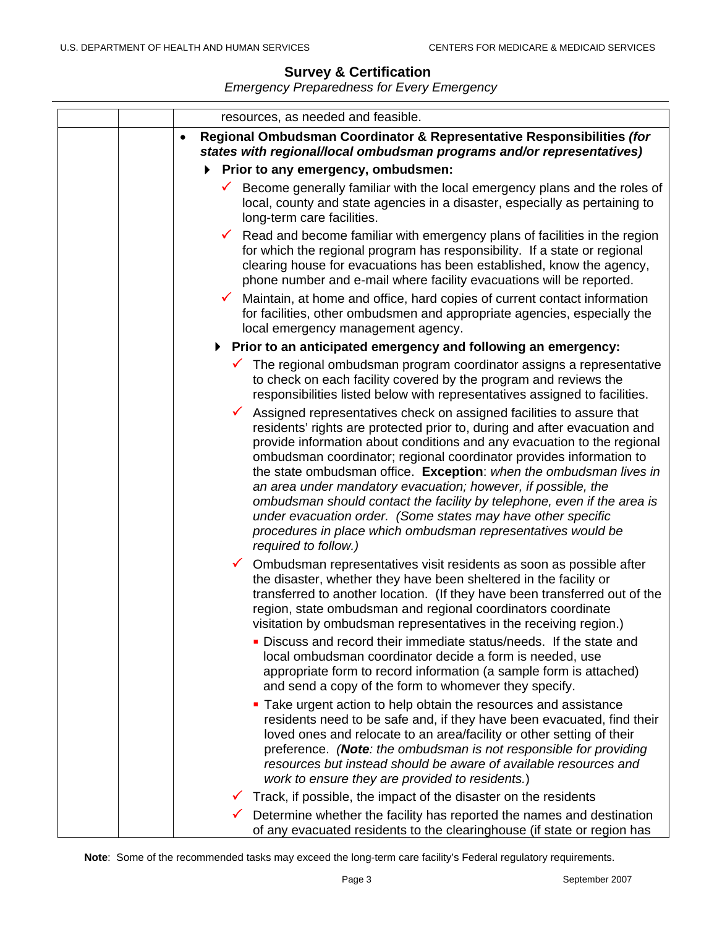| resources, as needed and feasible.                                                                                                                                                                                                                                                                                                                                                                                                                                                                                                                                                                                                                                                            |
|-----------------------------------------------------------------------------------------------------------------------------------------------------------------------------------------------------------------------------------------------------------------------------------------------------------------------------------------------------------------------------------------------------------------------------------------------------------------------------------------------------------------------------------------------------------------------------------------------------------------------------------------------------------------------------------------------|
| Regional Ombudsman Coordinator & Representative Responsibilities (for<br>$\bullet$<br>states with regional/local ombudsman programs and/or representatives)                                                                                                                                                                                                                                                                                                                                                                                                                                                                                                                                   |
| Prior to any emergency, ombudsmen:                                                                                                                                                                                                                                                                                                                                                                                                                                                                                                                                                                                                                                                            |
| Become generally familiar with the local emergency plans and the roles of<br>local, county and state agencies in a disaster, especially as pertaining to<br>long-term care facilities.                                                                                                                                                                                                                                                                                                                                                                                                                                                                                                        |
| Read and become familiar with emergency plans of facilities in the region<br>for which the regional program has responsibility. If a state or regional<br>clearing house for evacuations has been established, know the agency,<br>phone number and e-mail where facility evacuations will be reported.<br>Maintain, at home and office, hard copies of current contact information<br>for facilities, other ombudsmen and appropriate agencies, especially the<br>local emergency management agency.                                                                                                                                                                                         |
| ▶ Prior to an anticipated emergency and following an emergency:                                                                                                                                                                                                                                                                                                                                                                                                                                                                                                                                                                                                                               |
| $\checkmark$ The regional ombudsman program coordinator assigns a representative<br>to check on each facility covered by the program and reviews the<br>responsibilities listed below with representatives assigned to facilities.                                                                                                                                                                                                                                                                                                                                                                                                                                                            |
| Assigned representatives check on assigned facilities to assure that<br>$\checkmark$<br>residents' rights are protected prior to, during and after evacuation and<br>provide information about conditions and any evacuation to the regional<br>ombudsman coordinator; regional coordinator provides information to<br>the state ombudsman office. Exception: when the ombudsman lives in<br>an area under mandatory evacuation; however, if possible, the<br>ombudsman should contact the facility by telephone, even if the area is<br>under evacuation order. (Some states may have other specific<br>procedures in place which ombudsman representatives would be<br>required to follow.) |
| Ombudsman representatives visit residents as soon as possible after<br>the disaster, whether they have been sheltered in the facility or<br>transferred to another location. (If they have been transferred out of the<br>region, state ombudsman and regional coordinators coordinate<br>visitation by ombudsman representatives in the receiving region.)                                                                                                                                                                                                                                                                                                                                   |
| Discuss and record their immediate status/needs. If the state and<br>local ombudsman coordinator decide a form is needed, use<br>appropriate form to record information (a sample form is attached)<br>and send a copy of the form to whomever they specify.                                                                                                                                                                                                                                                                                                                                                                                                                                  |
| • Take urgent action to help obtain the resources and assistance<br>residents need to be safe and, if they have been evacuated, find their<br>loved ones and relocate to an area/facility or other setting of their<br>preference. (Note: the ombudsman is not responsible for providing<br>resources but instead should be aware of available resources and<br>work to ensure they are provided to residents.)                                                                                                                                                                                                                                                                               |
| Track, if possible, the impact of the disaster on the residents                                                                                                                                                                                                                                                                                                                                                                                                                                                                                                                                                                                                                               |
| Determine whether the facility has reported the names and destination<br>of any evacuated residents to the clearinghouse (if state or region has                                                                                                                                                                                                                                                                                                                                                                                                                                                                                                                                              |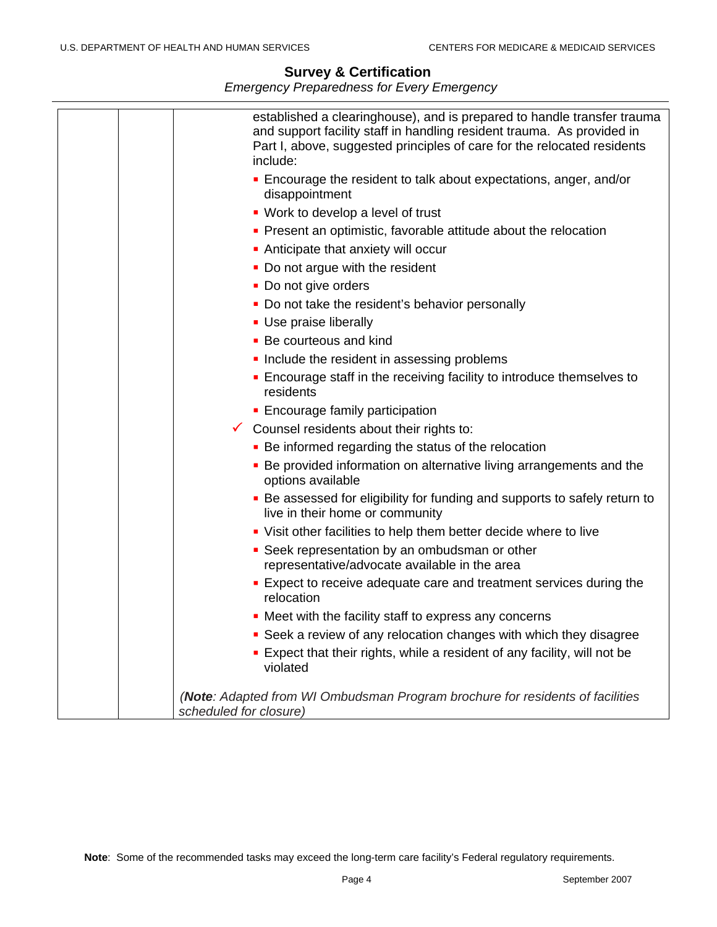| established a clearinghouse), and is prepared to handle transfer trauma<br>and support facility staff in handling resident trauma. As provided in<br>Part I, above, suggested principles of care for the relocated residents<br>include: |
|------------------------------------------------------------------------------------------------------------------------------------------------------------------------------------------------------------------------------------------|
| • Encourage the resident to talk about expectations, anger, and/or<br>disappointment                                                                                                                                                     |
| • Work to develop a level of trust                                                                                                                                                                                                       |
| • Present an optimistic, favorable attitude about the relocation                                                                                                                                                                         |
| Anticipate that anxiety will occur                                                                                                                                                                                                       |
| • Do not argue with the resident                                                                                                                                                                                                         |
| • Do not give orders                                                                                                                                                                                                                     |
| • Do not take the resident's behavior personally                                                                                                                                                                                         |
| • Use praise liberally                                                                                                                                                                                                                   |
| • Be courteous and kind                                                                                                                                                                                                                  |
| Include the resident in assessing problems                                                                                                                                                                                               |
| ■ Encourage staff in the receiving facility to introduce themselves to<br>residents                                                                                                                                                      |
| • Encourage family participation                                                                                                                                                                                                         |
| $\checkmark$ Counsel residents about their rights to:                                                                                                                                                                                    |
| • Be informed regarding the status of the relocation                                                                                                                                                                                     |
| • Be provided information on alternative living arrangements and the<br>options available                                                                                                                                                |
| • Be assessed for eligibility for funding and supports to safely return to<br>live in their home or community                                                                                                                            |
| • Visit other facilities to help them better decide where to live                                                                                                                                                                        |
| • Seek representation by an ombudsman or other<br>representative/advocate available in the area                                                                                                                                          |
| <b>Expect to receive adequate care and treatment services during the</b><br>relocation                                                                                                                                                   |
| • Meet with the facility staff to express any concerns                                                                                                                                                                                   |
| • Seek a review of any relocation changes with which they disagree                                                                                                                                                                       |
| Expect that their rights, while a resident of any facility, will not be<br>violated                                                                                                                                                      |
| (Note: Adapted from WI Ombudsman Program brochure for residents of facilities<br>scheduled for closure)                                                                                                                                  |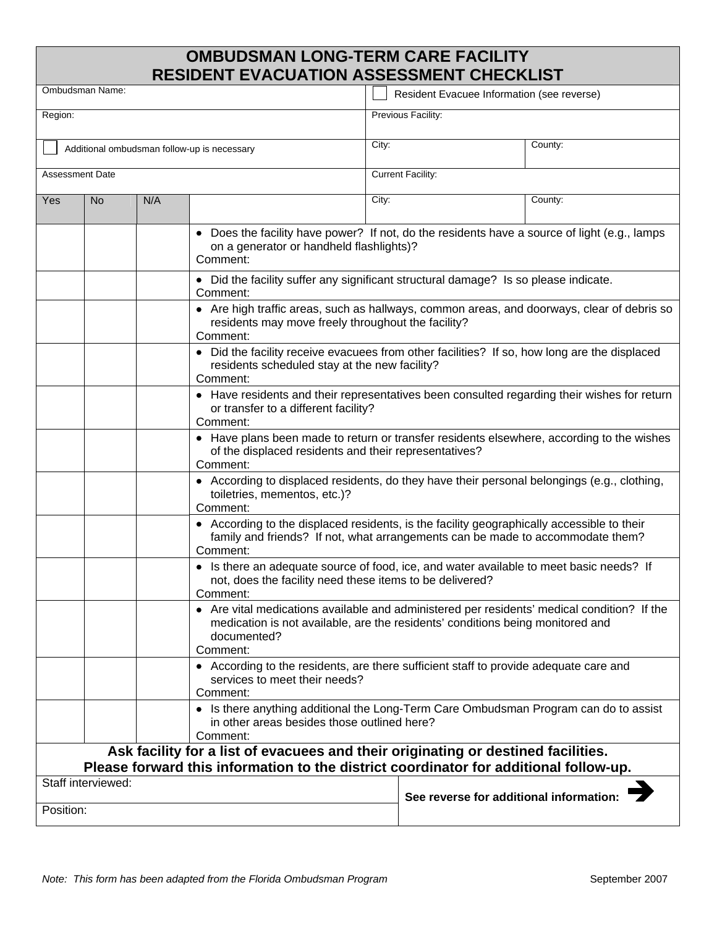# **OMBUDSMAN LONG-TERM CARE FACILITY RESIDENT EVACUATION ASSESSMENT CHECKLIST**

| Ombudsman Name:                                                                                             |                                                                                                                                                              |                                                                                                                                                                                          |                                                                                                                                                                             | Resident Evacuee Information (see reverse) |         |  |
|-------------------------------------------------------------------------------------------------------------|--------------------------------------------------------------------------------------------------------------------------------------------------------------|------------------------------------------------------------------------------------------------------------------------------------------------------------------------------------------|-----------------------------------------------------------------------------------------------------------------------------------------------------------------------------|--------------------------------------------|---------|--|
| Region:                                                                                                     |                                                                                                                                                              |                                                                                                                                                                                          |                                                                                                                                                                             | Previous Facility:                         |         |  |
| Additional ombudsman follow-up is necessary                                                                 |                                                                                                                                                              |                                                                                                                                                                                          | City:                                                                                                                                                                       |                                            | County: |  |
| Assessment Date                                                                                             |                                                                                                                                                              |                                                                                                                                                                                          |                                                                                                                                                                             | <b>Current Facility:</b>                   |         |  |
| <b>No</b><br>Yes                                                                                            | N/A                                                                                                                                                          |                                                                                                                                                                                          | City:                                                                                                                                                                       |                                            | County: |  |
|                                                                                                             |                                                                                                                                                              | • Does the facility have power? If not, do the residents have a source of light (e.g., lamps<br>on a generator or handheld flashlights)?<br>Comment:                                     |                                                                                                                                                                             |                                            |         |  |
|                                                                                                             |                                                                                                                                                              | • Did the facility suffer any significant structural damage? Is so please indicate.<br>Comment:                                                                                          |                                                                                                                                                                             |                                            |         |  |
|                                                                                                             | • Are high traffic areas, such as hallways, common areas, and doorways, clear of debris so<br>residents may move freely throughout the facility?<br>Comment: |                                                                                                                                                                                          |                                                                                                                                                                             |                                            |         |  |
|                                                                                                             | • Did the facility receive evacuees from other facilities? If so, how long are the displaced<br>residents scheduled stay at the new facility?<br>Comment:    |                                                                                                                                                                                          |                                                                                                                                                                             |                                            |         |  |
|                                                                                                             |                                                                                                                                                              | • Have residents and their representatives been consulted regarding their wishes for return<br>or transfer to a different facility?<br>Comment:                                          |                                                                                                                                                                             |                                            |         |  |
|                                                                                                             |                                                                                                                                                              | • Have plans been made to return or transfer residents elsewhere, according to the wishes<br>of the displaced residents and their representatives?<br>Comment:                           |                                                                                                                                                                             |                                            |         |  |
|                                                                                                             |                                                                                                                                                              | • According to displaced residents, do they have their personal belongings (e.g., clothing,<br>toiletries, mementos, etc.)?<br>Comment:                                                  |                                                                                                                                                                             |                                            |         |  |
|                                                                                                             |                                                                                                                                                              | • According to the displaced residents, is the facility geographically accessible to their<br>family and friends? If not, what arrangements can be made to accommodate them?<br>Comment: |                                                                                                                                                                             |                                            |         |  |
|                                                                                                             |                                                                                                                                                              | • Is there an adequate source of food, ice, and water available to meet basic needs? If<br>not, does the facility need these items to be delivered?<br>Comment:                          |                                                                                                                                                                             |                                            |         |  |
|                                                                                                             |                                                                                                                                                              | documented?<br>Comment:                                                                                                                                                                  | Are vital medications available and administered per residents' medical condition? If the<br>medication is not available, are the residents' conditions being monitored and |                                            |         |  |
|                                                                                                             |                                                                                                                                                              | • According to the residents, are there sufficient staff to provide adequate care and<br>services to meet their needs?<br>Comment:                                                       |                                                                                                                                                                             |                                            |         |  |
|                                                                                                             |                                                                                                                                                              | • Is there anything additional the Long-Term Care Ombudsman Program can do to assist<br>in other areas besides those outlined here?<br>Comment:                                          |                                                                                                                                                                             |                                            |         |  |
| Ask facility for a list of evacuees and their originating or destined facilities.                           |                                                                                                                                                              |                                                                                                                                                                                          |                                                                                                                                                                             |                                            |         |  |
| Please forward this information to the district coordinator for additional follow-up.<br>Staff interviewed: |                                                                                                                                                              |                                                                                                                                                                                          |                                                                                                                                                                             |                                            |         |  |
| Position:                                                                                                   |                                                                                                                                                              |                                                                                                                                                                                          |                                                                                                                                                                             | See reverse for additional information:    |         |  |